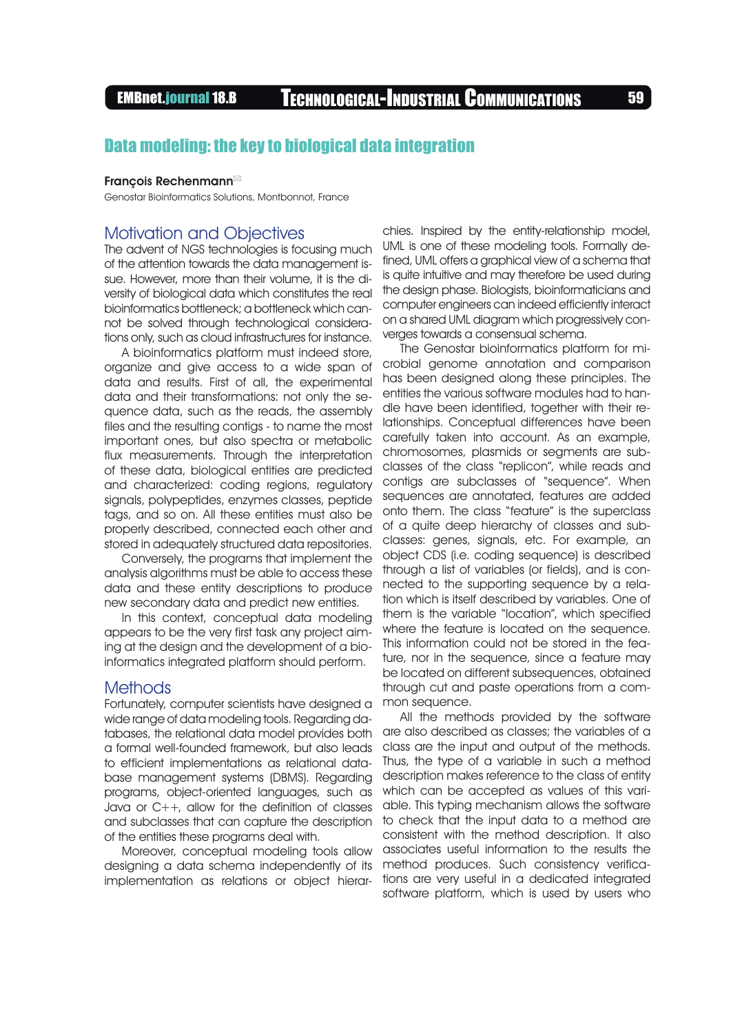# EMBnet.journal 18.B Technological-Industrial Communications <sup>59</sup>

## Data modeling: the key to biological data integration

#### François Rechenmann

Genostar Bioinformatics Solutions, Montbonnot, France

### Motivation and Objectives

The advent of NGS technologies is focusing much of the attention towards the data management issue. However, more than their volume, it is the diversity of biological data which constitutes the real bioinformatics bottleneck; a bottleneck which cannot be solved through technological considerations only, such as cloud infrastructures for instance.

A bioinformatics platform must indeed store, organize and give access to a wide span of data and results. First of all, the experimental data and their transformations: not only the sequence data, such as the reads, the assembly files and the resulting contigs - to name the most important ones, but also spectra or metabolic flux measurements. Through the interpretation of these data, biological entities are predicted and characterized: coding regions, regulatory signals, polypeptides, enzymes classes, peptide tags, and so on. All these entities must also be properly described, connected each other and stored in adequately structured data repositories.

Conversely, the programs that implement the analysis algorithms must be able to access these data and these entity descriptions to produce new secondary data and predict new entities.

In this context, conceptual data modeling appears to be the very first task any project aiming at the design and the development of a bioinformatics integrated platform should perform.

#### Methods

Fortunately, computer scientists have designed a wide range of data modeling tools. Regarding databases, the relational data model provides both a formal well-founded framework, but also leads to efficient implementations as relational database management systems (DBMS). Regarding programs, object-oriented languages, such as Java or C++, allow for the definition of classes and subclasses that can capture the description of the entities these programs deal with.

Moreover, conceptual modeling tools allow designing a data schema independently of its implementation as relations or object hierarchies. Inspired by the entity-relationship model, UML is one of these modeling tools. Formally defined, UML offers a graphical view of a schema that is quite intuitive and may therefore be used during the design phase. Biologists, bioinformaticians and computer engineers can indeed efficiently interact on a shared UML diagram which progressively converges towards a consensual schema.

The Genostar bioinformatics platform for microbial genome annotation and comparison has been designed along these principles. The entities the various software modules had to handle have been identified, together with their relationships. Conceptual differences have been carefully taken into account. As an example, chromosomes, plasmids or segments are subclasses of the class "replicon", while reads and contigs are subclasses of "sequence". When sequences are annotated, features are added onto them. The class "feature" is the superclass of a quite deep hierarchy of classes and subclasses: genes, signals, etc. For example, an object CDS (i.e. coding sequence) is described through a list of variables (or fields), and is connected to the supporting sequence by a relation which is itself described by variables. One of them is the variable "location", which specified where the feature is located on the sequence. This information could not be stored in the feature, nor in the sequence, since a feature may be located on different subsequences, obtained through cut and paste operations from a common sequence.

All the methods provided by the software are also described as classes; the variables of a class are the input and output of the methods. Thus, the type of a variable in such a method description makes reference to the class of entity which can be accepted as values of this variable. This typing mechanism allows the software to check that the input data to a method are consistent with the method description. It also associates useful information to the results the method produces. Such consistency verifications are very useful in a dedicated integrated software platform, which is used by users who